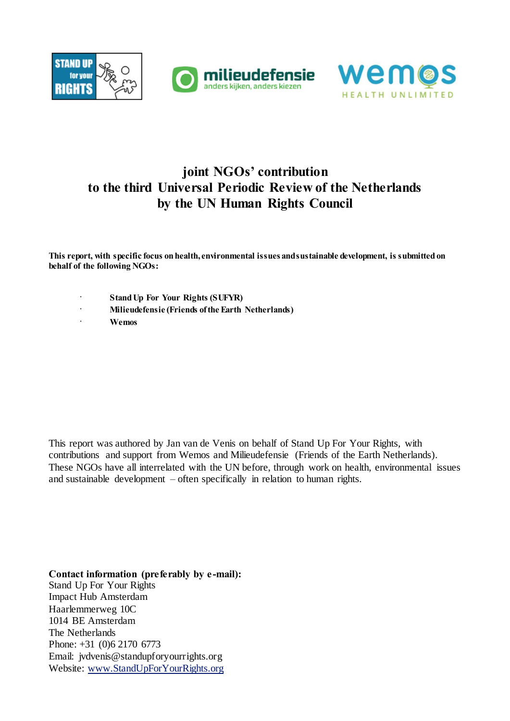





# **joint NGOs' contribution to the third Universal Periodic Review of the Netherlands by the UN Human Rights Council**

**This report, with specific focus on health, environmental issues and sustainable development, is submitted on behalf of the following NGOs:**

- · **Stand Up For Your Rights (SUFYR)**
- · **Milieudefensie (Friends of the Earth Netherlands)**
- · **Wemos**

This report was authored by Jan van de Venis on behalf of Stand Up For Your Rights, with contributions and support from Wemos and Milieudefensie (Friends of the Earth Netherlands). These NGOs have all interrelated with the UN before, through work on health, environmental issues and sustainable development – often specifically in relation to human rights.

**Contact information (preferably by e-mail):** Stand Up For Your Rights Impact Hub Amsterdam Haarlemmerweg 10C 1014 BE Amsterdam The Netherlands Phone: +31 (0)6 2170 6773 Email: jvdvenis@standupforyourrights.org Website: www.StandUpForYourRights.org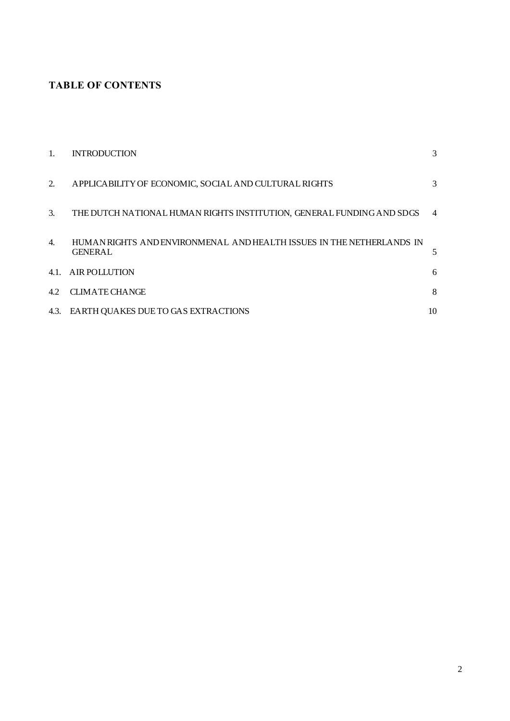## **TABLE OF CONTENTS**

| 1.   | <b>INTRODUCTION</b>                                                                     | 3              |
|------|-----------------------------------------------------------------------------------------|----------------|
| 2.   | APPLICABILITY OF ECONOMIC, SOCIAL AND CULTURAL RIGHTS                                   | 3              |
| 3.   | THE DUTCH NATIONAL HUMAN RIGHTS INSTITUTION, GENERAL FUNDING AND SDGS                   | $\overline{4}$ |
| 4.   | HUMAN RIGHTS AND ENVIRONMENAL AND HEALTH ISSUES IN THE NETHERLANDS IN<br><b>GENERAL</b> | 5              |
| 4.1  | AIR POLLUTION                                                                           | 6              |
| 4.2  | <b>CLIMATE CHANGE</b>                                                                   | 8              |
| 4.3. | EARTH QUAKES DUE TO GAS EXTRACTIONS                                                     | 10             |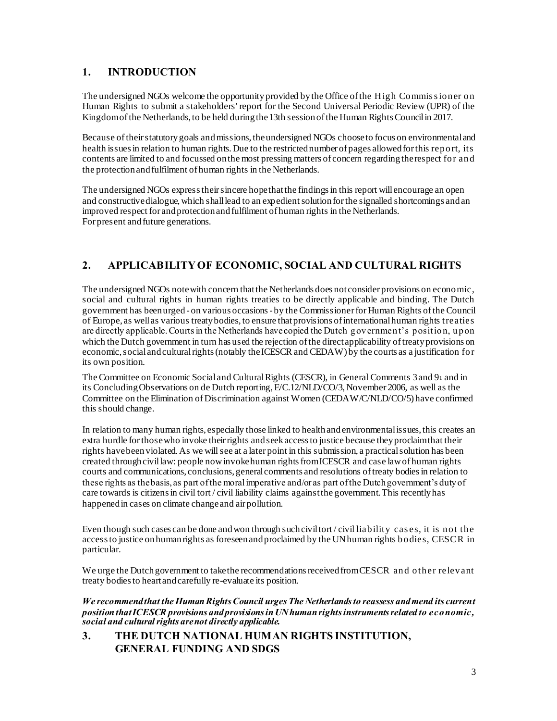### **1. INTRODUCTION**

The undersigned NGOs welcome the opportunity provided by the Office of the High Commis s ioner on Human Rights to submit a stakeholders' report for the Second Universal Periodic Review (UPR) of the Kingdom of the Netherlands, to be held during the 13th session of the Human Rights Council in 2017.

Because of their statutory goals and missions, the undersigned NGOs choose to focus on environmental and health issues in relation to human rights. Due to the restricted number of pages allowed for this report, its contents are limited to and focussed on the most pressing matters of concern regarding the respect for and the protection and fulfilment of human rights in the Netherlands.

The undersigned NGOs express their sincere hope that the findings in this report will encourage an open and constructive dialogue, which shall lead to an expedient solution for the signalled shortcomings and an improved respect for and protection and fulfilment of human rights in the Netherlands. For present and future generations.

# **2. APPLICABILITY OF ECONOMIC, SOCIAL AND CULTURAL RIGHTS**

The undersigned NGOs note with concern that the Netherlands does not consider provisions on economic, social and cultural rights in human rights treaties to be directly applicable and binding. The Dutch government has been urged - on various occasions - by the Commissioner for Human Rights of the Council of Europe, as well as various treaty bodies, to ensure that provisions of international human rights treaties are directly applicable. Courts in the Netherlands have copied the Dutch government's position, upon which the Dutch government in turn has used the rejection of the direct applicability of treaty provisions on economic, social and cultural rights (notably the ICESCR and CEDAW) by the courts as a justification for its own position.

The Committee on Economic Social and Cultural Rights (CESCR), in General Comments 3 and 9<sup>1</sup> and in its Concluding Observations on de Dutch reporting, E/C.12/NLD/CO/3, November 2006, as well as the Committee on the Elimination of Discrimination against Women (CEDAW/C/NLD/CO/5) have confirmed this should change.

In relation to many human rights, especially those linked to health and environmental issues, this creates an extra hurdle for those who invoke their rights and seek access to justice because they proclaim that their rights have been violated. As we will see at a later point in this submission, a practical solution has been created through civil law: people now invoke human rights from ICESCR and case law of human rights courts and communications, conclusions, general comments and resolutions of treaty bodies in relation to these rights as the basis, as part of the moral imperative and/or as part of the Dutch government's duty of care towards is citizens in civil tort / civil liability claims against the government. This recently has happened in cases on climate change and air pollution.

Even though such cases can be done and won through such civil tort / civil liability cas es, it is not the access to justice on human rights as foreseen and proclaimed by the UN human rights bodies, CESCR in particular.

We urge the Dutch government to take the recommendations received from CESCR and other relevant treaty bodies to heart and carefully re-evaluate its position.

*We recommend that the Human Rights Council urges The Netherlands to reassess and mend its current position that ICESCR provisions and provisions in UN human rights instruments related to economic, social and cultural rights are not directly applicable.*

**3. THE DUTCH NATIONAL HUMAN RIGHTS INSTITUTION, GENERAL FUNDING AND SDGS**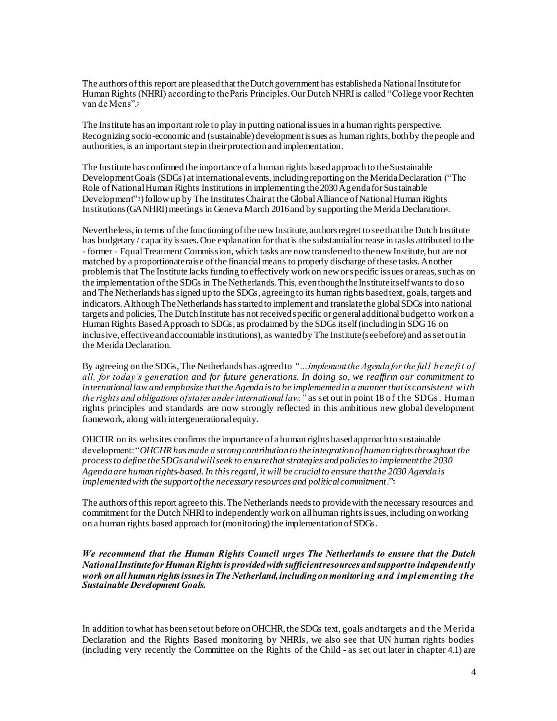The authors of this report are pleased that the Dutch government has established a National Institute for Human Rights (NHRI) according to the Paris Principles. Our Dutch NHRI is called "College voor Rechten van de Mens".<sup>2</sup>

The Institute has an important role to play in putting national issues in a human rights perspective. Recognizing socio-economic and (sustainable) development issues as human rights, both by the people and authorities, is an important step in their protection and implementation.

The Institute has confirmed the importance of a human rights based approach to the Sustainable Development Goals (SDGs) at international events, including reporting on the Merida Declaration ("The Role of National Human Rights Institutions in implementing the 2030 Agenda for Sustainable Development"3) follow up by The Institutes Chair at the Global Alliance of National Human Rights Institutions (GANHRI) meetings in Geneva March 2016 and by supporting the Merida Declaration4.

Nevertheless, in terms of the functioning of the new Institute, authors regret to see that the Dutch Institute has budgetary / capacity issues. One explanation for that is the substantial increase in tasks attributed to the - former - Equal Treatment Commission, which tasks are nowtransferred to the new Institute, but are not matched by a proportionate raise of the financial means to properly discharge of these tasks. Another problem is that The Institute lacks funding to effectively work on new or specific issues or areas, such as on the implementation of the SDGs in The Netherlands. This, even though the Institute itself wants to do so and The Netherlands has signed up to the SDGs, agreeing to its human rights based text, goals, targets and indicators. Although The Netherlands has started to implement and translate the global SDGs into national targets and policies, The Dutch Institute has not received specific or general additional budget to work on a Human Rights Based Approach to SDGs, as proclaimed by the SDGs itself (including in SDG 16 on inclusive, effective and accountable institutions), as wanted by The Institute (see before) and as set out in the Merida Declaration.

By agreeing on the SDGs, The Netherlands has agreed to *"…implement the Agenda for the full benefit of all, for today's generation and for future generations. In doing so, we reaffirm our commitment to international law and emphasize that the Agenda is to be implemented in a manner that is consistent with the rights and obligations of states under international law."* as set out in point 18 of the SDGs . Human rights principles and standards are now strongly reflected in this ambitious new global development framework, along with intergenerational equity.

OHCHR on its websites confirms the importance of a human rights based approach to sustainable development: "*OHCHR has made a strong contribution to the integration of human rights throughout the process to define the SDGs and will seek to ensure that strategies and policies to implement the 2030 Agenda are human rights-based. In this regard, it will be crucial to ensure that the 2030 Agenda is implemented with the support of the necessary resources and political commitment*."<sup>5</sup>

The authors of this report agree to this. The Netherlands needs to provide with the necessary resources and commitment for the Dutch NHRI to independently work on all human rights issues, including on working on a human rights based approach for (monitoring) the implementation of SDGs.

*We recommend that the Human Rights Council urges The Netherlands to ensure that the Dutch National Institute for Human Rights is provided with sufficient resources and support to independently work on all human rights issues in The Netherland, including on monitoring and implementing the Sustainable Development Goals.*

In addition to what has been set out before on OHCHR, the SDGs text, goals and targets and the Merida Declaration and the Rights Based monitoring by NHRIs, we also see that UN human rights bodies (including very recently the Committee on the Rights of the Child - as set out later in chapter 4.1) are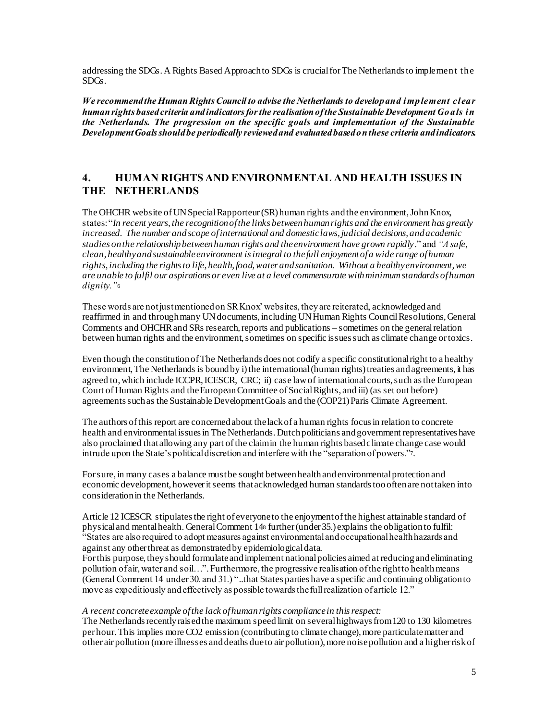addressing the SDGs. A Rights Based Approach to SDGs is crucial for The Netherlands to implement the SDGs.

*We recommend the Human Rights Council to advise the Netherlands to develop and implement clear human rights based criteria and indicators for the realisation of the Sustainable Development Goals in the Netherlands. The progression on the specific goals and implementation of the Sustainable Development Goals should be periodically reviewed and evaluated based on these criteria and indicators.*

#### **4. HUMAN RIGHTS AND ENVIRONMENTAL AND HEALTH ISSUES IN THE NETHERLANDS**

The OHCHR website of UN Special Rapporteur (SR) human rights and the environment, John Knox, states: "*In recent years, the recognition of the links between human rights and the environment has greatly increased. The number and scope of international and domestic laws, judicial decisions, and academic studies on the relationship between human rights and the environment have grown rapidly*." and *"A safe, clean, healthy and sustainable environment is integral to the full enjoyment of a wide range of human rights, including the rights to life, health, food, water and sanitation. Without a healthy environment, we are unable to fulfil our aspirations or even live at a level commensurate with minimum standards of human dignity."*<sup>6</sup>

These words are not just mentioned on SR Knox' websites, they are reiterated, acknowledged and reaffirmed in and through many UN documents, including UN Human Rights Council Resolutions, General Comments and OHCHR and SRs research, reports and publications – sometimes on the general relation between human rights and the environment, sometimes on specific issues such as climate change or toxics.

Even though the constitution of The Netherlands does not codify a specific constitutional right to a healthy environment, The Netherlands is bound by i) the international (human rights) treaties and agreements, it has agreed to, which include ICCPR, ICESCR, CRC; ii) case law of international courts, such as the European Court of Human Rights and the European Committee of Social Rights, and iii) (as set out before) agreements such as the Sustainable Development Goals and the (COP21) Paris Climate Agreement.

The authors of this report are concerned about the lack of a human rights focus in relation to concrete health and environmental issues in The Netherlands. Dutch politicians and government representatives have also proclaimed that allowing any part of the claim in the human rights based climate change case would intrude upon the State's political discretion and interfere with the "separation of powers."7.

For sure, in many cases a balance must be sought between health and environmental protection and economic development, however it seems that acknowledged human standards too often are not taken into consideration in the Netherlands.

Article 12 ICESCR stipulates the right of everyone to the enjoyment of the highest attainable standard of physical and mental health. General Comment 14<sup>8</sup> further (under 35.) explains the obligation to fulfil: "States are also required to adopt measures against environmental and occupational health hazards and against any other threat as demonstrated by epidemiological data.

For this purpose, they should formulate and implement national policies aimed at reducing and eliminating pollution of air, water and soil…". Furthermore, the progressive realisation of the right to health means (General Comment 14 under 30. and 31.) "..that States parties have a specific and continuing obligation to move as expeditiously and effectively as possible towards the full realization of article 12."

#### *A recent concrete example of the lack of human rights compliance in this respect:*

The Netherlands recently raised the maximum speed limit on several highways from 120 to 130 kilometres per hour. This implies more CO2 emission (contributing to climate change), more particulate matter and other air pollution (more illnesses and deaths due to air pollution), more noise pollution and a higher risk of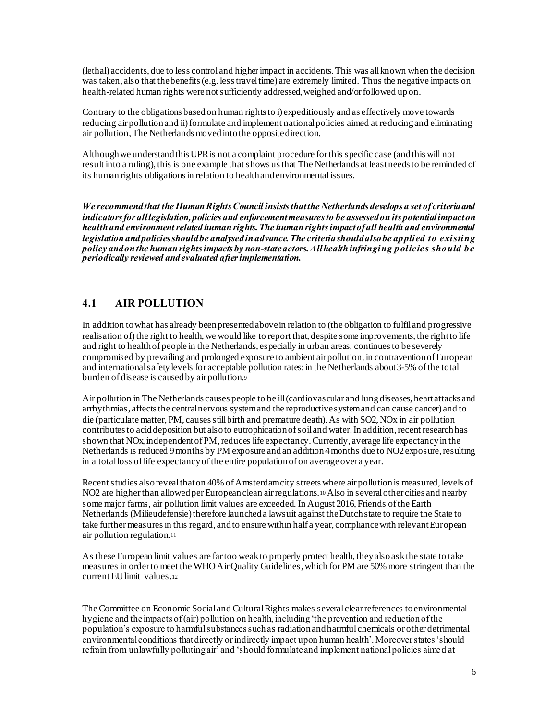(lethal) accidents, due to less control and higher impact in accidents. This was all known when the decision was taken, also that the benefits (e.g. less travel time) are extremely limited. Thus the negative impacts on health-related human rights were not sufficiently addressed, weighed and/or followed up on.

Contrary to the obligations based on human rights to i) expeditiously and as effectively move towards reducing air pollution and ii) formulate and implement national policies aimed at reducing and eliminating air pollution, The Netherlands moved into the opposite direction.

Although we understand this UPR is not a complaint procedure for this specific case (and this will not result into a ruling), this is one example that shows us that The Netherlands at least needs to be reminded of its human rights obligations in relation to health and environmental issues.

*We recommend that the Human Rights Council insiststhat the Netherlands develops a set of criteria and indicators for all legislation, policies and enforcement measures to be assessed on its potential impact on health and environment related human rights. The human rights impact of all health and environmental legislation and policies should be analysed in advance. The criteria should also be applied to existing policy and on the human rights impacts by non-state actors. All health infringing policies should be periodically reviewed and evaluated after implementation.*

### **4.1 AIR POLLUTION**

In addition to what has already been presented above in relation to (the obligation to fulfil and progressive realisation of) the right to health, we would like to report that, despite some improvements, the right to life and right to health of people in the Netherlands, especially in urban areas, continues to be severely compromised by prevailing and prolonged exposure to ambient air pollution, in contravention of European and international safety levels for acceptable pollution rates:in the Netherlands about 3-5% of the total burden of disease is caused by air pollution.<sup>9</sup>

Air pollution in The Netherlands causes people to be ill (cardiovascular and lung diseases, heart attacks and arrhythmias, affects the central nervous system and the reproductive system and can cause cancer) and to die (particulate matter, PM, causes still birth and premature death). As with SO2, NOx in air pollution contributes to acid deposition but also to eutrophication of soil and water. In addition, recent research has shown that NOx, independent of PM, reduces life expectancy. Currently, average life expectancy in the Netherlands is reduced 9 months by PM exposure and an addition 4 months due to NO2 exposure, resulting in a total loss of life expectancy of the entire population of on average over a year.

Recent studies also reveal that on 40% of Amsterdam city streets where air pollution is measured, levels of NO2 are higher than allowed per European clean air regulations.<sup>10</sup> Also in several other cities and nearby some major farms, air pollution limit values are exceeded. In August 2016, Friends of the Earth Netherlands (Milieudefensie) therefore launched a lawsuit against the Dutch state to require the State to take further measures in this regard, and to ensure within half a year, compliance with relevant European air pollution regulation.<sup>11</sup>

As these European limit values are far too weak to properly protect health, they also ask the state to take measures in order to meet the WHO Air Quality Guidelines, which for PM are 50% more stringent than the current EU limit values.<sup>12</sup>

The Committee on Economic Social and Cultural Rights makes several clear references to environmental hygiene and the impacts of (air) pollution on health, including 'the prevention and reduction of the population's exposure to harmful substances such as radiation and harmful chemicals or other detrimental environmental conditions that directly or indirectly impact upon human health'. Moreover states 'should refrain from unlawfully polluting air' and 'should formulate and implement national policies aimed at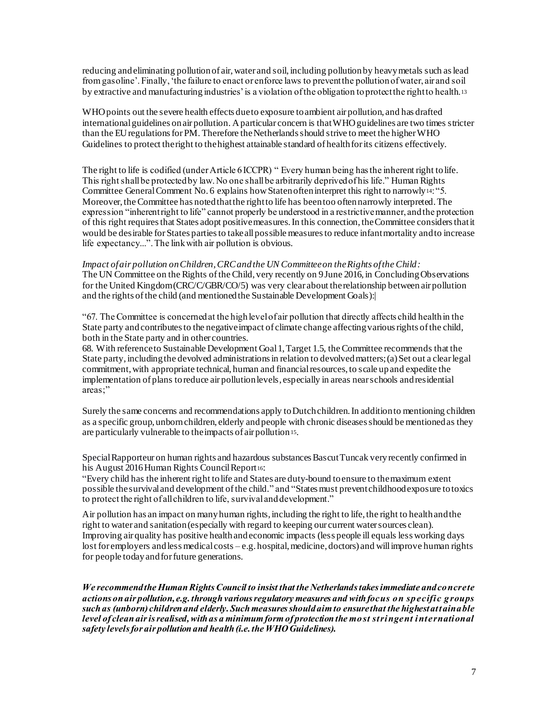reducing and eliminating pollution of air, water and soil, including pollution by heavy metals such as lead from gasoline'. Finally, 'the failure to enact or enforce laws to prevent the pollution of water, air and soil by extractive and manufacturing industries' is a violation of the obligation to protect the right to health.<sup>13</sup>

WHO points out the severe health effects due to exposure to ambient air pollution, and has drafted international guidelines on air pollution. A particular concern is that WHO guidelines are two times stricter than the EU regulations for PM. Therefore the Netherlands should strive to meet the higher WHO Guidelines to protect the right to the highest attainable standard of health for its citizens effectively.

The right to life is codified (under Article 6 ICCPR) " Every human being has the inherent right to life. This right shall be protected by law. No one shall be arbitrarily deprived of his life." Human Rights Committee General Comment No. 6 explains how Staten often interpret this right to narrowly14: "5. Moreover, the Committee has noted that the right to life has been too often narrowly interpreted. The expression "inherent right to life" cannot properly be understood in a restrictive manner, and the protection of this right requires that States adopt positive measures. In this connection, the Committee considers that it would be desirable for States parties to take all possible measures to reduce infant mortality and to increase life expectancy...". The link with air pollution is obvious.

#### *Impact of air pollution on Children, CRCand the UN Committee on the Rights of the Child:*

The UN Committee on the Rights of the Child, very recently on 9 June 2016, in Concluding Observations for the United Kingdom (CRC/C/GBR/CO/5) was very clear about the relationship between air pollution and the rights of the child (and mentioned the Sustainable Development Goals):|

"67. The Committee is concerned at the high level of air pollution that directly affects child health in the State party and contributes to the negative impact of climate change affecting various rights of the child, both in the State party and in other countries.

68. With reference to Sustainable Development Goal 1, Target 1.5, the Committee recommends that the State party, including the devolved administrations in relation to devolved matters; (a) Set out a clear legal commitment, with appropriate technical, human and financial resources, to scale up and expedite the implementation of plans to reduce air pollution levels, especially in areas near schools and residential areas;"

Surely the same concerns and recommendations apply to Dutch children. In addition to mentioning children as a specific group, unborn children, elderly and people with chronic diseasesshould be mentioned as they are particularly vulnerable to the impacts of air pollution 15.

Special Rapporteur on human rights and hazardous substances Bascut Tuncak very recently confirmed in his August 2016 Human Rights Council Report16:

"Every child has the inherent right to life and States are duty-bound to ensure to the maximum extent possible the survival and development of the child." and "States must prevent childhood exposure to toxics to protect the right of all children to life, survival and development."

Air pollution has an impact on many human rights, including the right to life, the right to health and the right to water and sanitation (especially with regard to keeping our current water sources clean). Improving air quality has positive health and economic impacts (less people ill equals less working days lost for employers and less medical costs – e.g. hospital, medicine, doctors) and will improve human rights for people today and for future generations.

*We recommend the Human Rights Council to insist that the Netherlands takes immediate and concrete actions on air pollution, e.g. through various regulatory measures and with focus on specific groups such as (unborn) children and elderly. Such measures should aim to ensurethat the highest attainable level of clean air is realised, with as a minimum form of protection the most stringent international safety levels for air pollution and health (i.e. the WHO Guidelines).*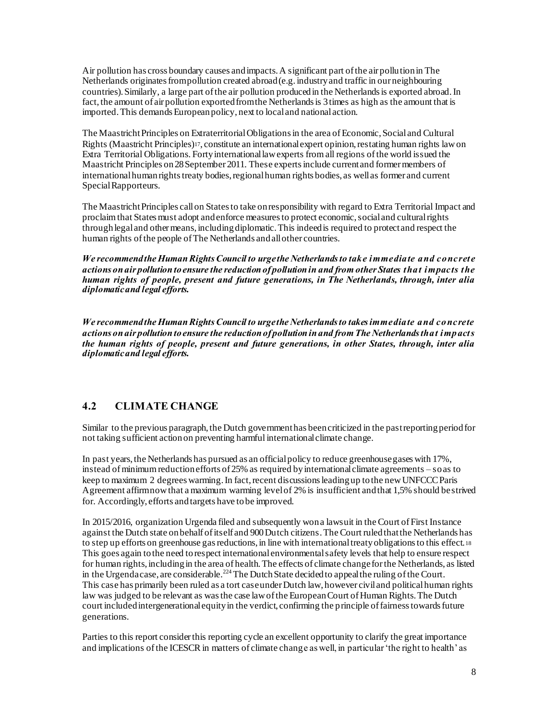Air pollution has cross boundary causes and impacts. A significant part of the air pollution in The Netherlands originates from pollution created abroad (e.g. industry and traffic in our neighbouring countries). Similarly, a large part of the air pollution produced in the Netherlands is exported abroad. In fact, the amount of air pollution exported from the Netherlands is 3 times as high as the amount that is imported. This demands European policy, next to local and national action.

The Maastricht Principles on Extraterritorial Obligations in the area of Economic, Social and Cultural Rights (Maastricht Principles)17, constitute an international expert opinion, restating human rights law on Extra Territorial Obligations. Forty international law experts from all regions of the world issued the Maastricht Principles on 28 September 2011. These experts include current and former members of international human rights treaty bodies, regional human rights bodies, as well as former and current Special Rapporteurs.

The Maastricht Principles call on States to take on responsibility with regard to Extra Territorial Impact and proclaim that States must adopt and enforce measures to protect economic, social and cultural rights through legal and other means, including diplomatic. This indeed is required to protect and respect the human rights of the people of The Netherlands and all other countries.

*We recommend the Human Rights Council to urgethe Netherlands to take immediate and concrete actions on air pollution to ensure the reduction of pollution in and from other States that impacts the human rights of people, present and future generations, in The Netherlands, through, inter alia diplomatic and legal efforts.*

*We recommend the Human Rights Council to urge the Netherlands to takes immediate and concrete actions on air pollution to ensure the reduction of pollution in and from The Netherlands that impacts the human rights of people, present and future generations, in other States, through, inter alia diplomatic and legal efforts.*

### **4.2 CLIMATE CHANGE**

Similar to the previous paragraph, the Dutch government has been criticized in the past reporting period for not taking sufficient action on preventing harmful international climate change.

In past years, the Netherlands has pursued as an official policy to reduce greenhouse gases with 17%, instead of minimum reduction efforts of 25% as required by international climate agreements – so as to keep to maximum 2 degrees warming. In fact, recent discussions leading up to the new UNFCCC Paris Agreement affirm now that a maximum warming level of 2% is insufficient and that 1,5% should be strived for. Accordingly, efforts and targets have to be improved.

In 2015/2016, organization Urgenda filed and subsequently won a lawsuit in the Court of First Instance against the Dutch state on behalf of itself and 900 Dutch citizens. The Court ruled that the Netherlands has to step up efforts on greenhouse gas reductions, in line with international treaty obligations to this effect.<sup>18</sup> This goes again to the need to respect international environmental safety levels that help to ensure respect for human rights, including in the area of health. The effects of climate change for the Netherlands, as listed in the Urgenda case, are considerable.<sup>224</sup> The Dutch State decided to appeal the ruling of the Court. This case has primarily been ruled as a tort case under Dutch law, however civil and political human rights law was judged to be relevant as was the case law of the European Court of Human Rights. The Dutch court included intergenerational equity in the verdict, confirming the principle of fairness towards future generations.

Parties to this report consider this reporting cycle an excellent opportunity to clarify the great importance and implications of the ICESCR in matters of climate change as well, in particular 'the right to health' as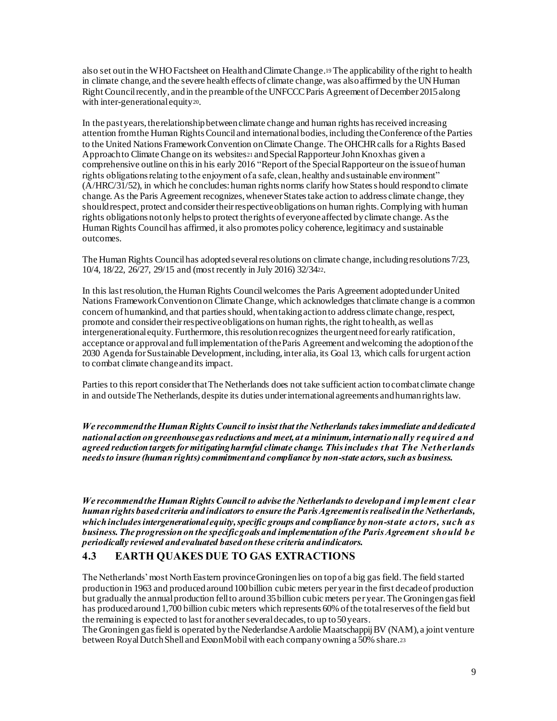also set out in the WHO Factsheet on Health and Climate Change.<sup>19</sup> The applicability of the right to health in climate change, and the severe health effects of climate change, was also affirmed by the UN Human Right Council recently, and in the preamble of the UNFCCC Paris Agreement of December 2015 along with inter-generational equity20.

In the past years, the relationship between climate change and human rights has received increasing attention from the Human Rights Council and international bodies, including the Conference of the Parties to the United Nations Framework Convention on Climate Change. The OHCHR calls for a Rights Based Approach to Climate Change on its websites<sup>21</sup> and Special Rapporteur John Knox has given a comprehensive outline on this in his early 2016 "Report of the Special Rapporteur on the issue of human rights obligations relating to the enjoyment of a safe, clean, healthy and sustainable environment" (A/HRC/31/52), in which he concludes: human rights norms clarify how States s hould respond to climate change. As the Paris Agreement recognizes, whenever States take action to address climate change, they should respect, protect and consider their respective obligations on human rights. Complying with human rights obligations not only helps to protect the rights of everyone affected by climate change. As the Human Rights Council has affirmed, it also promotes policy coherence, legitimacy and sustainable outcomes.

The Human Rights Council has adopted several resolutions on climate change, including resolutions 7/23, 10/4, 18/22, 26/27, 29/15 and (most recently in July 2016) 32/3422.

In this last resolution, the Human Rights Council welcomes the Paris Agreement adopted under United Nations Framework Convention on Climate Change, which acknowledges that climate change is a common concern of humankind, and that parties should, when taking action to address climate change, respect, promote and consider their respective obligations on human rights, the right to health, as well as intergenerational equity. Furthermore, this resolution recognizes the urgent need for early ratification, acceptance or approval and full implementation of the Paris Agreement and welcoming the adoption of the 2030 Agenda for Sustainable Development, including, inter alia, its Goal 13, which calls for urgent action to combat climate change and its impact.

Parties to this report consider that The Netherlands does not take sufficient action to combat climate change in and outside The Netherlands, despite its duties under international agreements and human rights law.

*We recommend the Human Rights Council to insist that the Netherlands takes immediate and dedicated national action on greenhouse gas reductions and meet, at a minimum, internationally required and agreed reduction targets for mitigating harmful climate change. This includes that The Netherlands needs to insure (human rights) commitment and compliance by non-state actors, such as business.*

*We recommend the Human Rights Council to advise the Netherlands to develop and implement clear human rights based criteria and indicators to ensure the Paris Agreement is realised in the Netherlands, which includes intergenerational equity, specific groups and compliance by non-state actors, such as business. The progression on the specific goals and implementation of the Paris Agreement should be periodically reviewed and evaluated based on these criteria and indicators.*

### **4.3 EARTH QUAKES DUE TO GAS EXTRACTIONS**

The Netherlands' most North Eastern province Groningen lies on top of a big gas field. The field started production in 1963 and produced around 100 billion cubic meters per year in the first decade of production but gradually the annual production fell to around 35 billion cubic meters per year.The Groningen gas field has produced around 1,700 billion cubic meters which represents 60% of the total reserves of the field but the remaining is expected to last for another several decades, to up to 50 years.

The Groningen gas field is operated by the Nederlandse Aardolie Maatschappij BV (NAM), a joint venture between Royal Dutch Shell and ExxonMobilwith each company owning a 50% share.<sup>23</sup>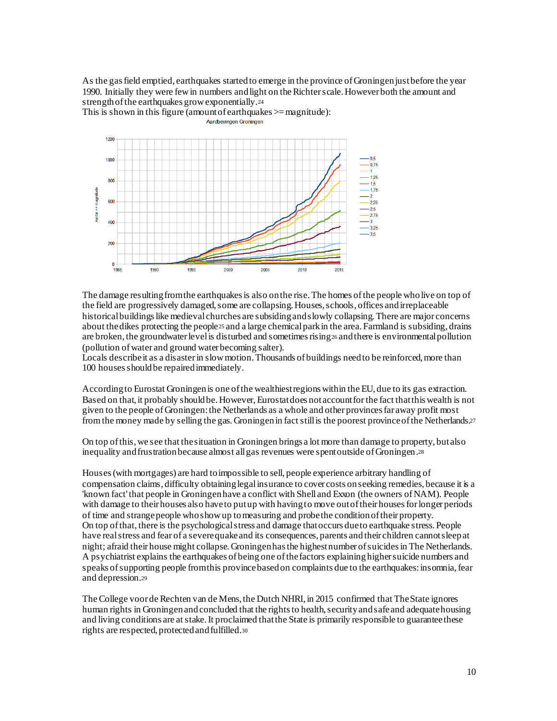As the gas field emptied, earthquakes started to emerge in the province of Groningen just before the year 1990. Initially they were few in numbers and light on the Richter scale. However both the amount and strength of the earthquakes grow exponentially.<sup>24</sup>



This is shown in this figure (amount of earthquakes  $>=$  magnitude):<br>Aardbevingen Groningen

The damage resulting from the earthquakes is also on the rise. The homes of the people who live on top of the field are progressively damaged, some are collapsing. Houses, schools, offices and irreplaceable historical buildings like medieval churches are subsiding and slowly collapsing. There are major concerns about the dikes protecting the people<sup>25</sup> and a large chemical park in the area. Farmland is subsiding, drains are broken, the groundwater level is disturbed and sometimes rising<sup>26</sup> and there is environmental pollution (pollution of water and ground water becoming salter).

Locals describe it as a disaster in slow motion. Thousands of buildings need to be reinforced, more than 100 houses should be repaired immediately.

According to Eurostat Groningen is one of the wealthiest regions within the EU, due to its gas extraction. Based on that,it probably should be. However, Eurostat does not account for the fact thatthis wealth is not given to the people of Groningen: the Netherlands as a whole and other provinces far away profit most from the money made by selling the gas. Groningen in fact still is the poorest provinceof the Netherlands.<sup>27</sup>

On top of this, we see that the situation in Groningen brings a lot more than damage to property, but also inequality and frustration because almost all gas revenues were spent outside of Groningen.<sup>28</sup>

Houses (with mortgages) are hard to impossible to sell, people experience arbitrary handling of compensation claims, difficulty obtaining legal insurance to cover costs on seeking remedies, because it is a 'known fact' that people in Groningen have a conflict with Shell and Exxon (the owners of NAM). People with damage to their houses also have to put up with having to move out of their houses for longer periods of time and strange people who show up to measuring and probe the condition of their property. On top of that, there is the psychological stress and damage that occurs due to earthquake stress. People have realstress and fear of a severe quake and its consequences, parents and their children cannot sleepat night; afraid their house might collapse. Groningen has the highest number of suicides in The Netherlands. A psychiatrist explains the earthquakes of being one of the factors explaining higher suicide numbers and speaks of supporting people from this province based on complaints due to the earthquakes: insomnia, fear and depression.<sup>29</sup>

The College voor de Rechten van de Mens, the Dutch NHRI, in 2015 confirmed that The State ignores human rights in Groningen and concluded that the rights to health, security and safe and adequate housing and living conditions are at stake. It proclaimed that the State is primarily responsible to guarantee these rights are respected, protected and fulfilled.30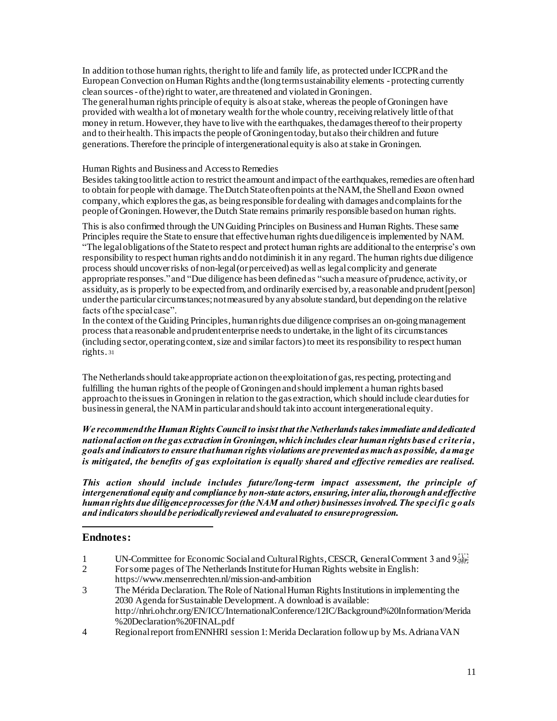In addition to those human rights, the right to life and family life, as protected under ICCPR and the European Convection on Human Rights and the (long term sustainability elements - protecting currently clean sources - ofthe) right to water, are threatened and violated in Groningen.

The general human rights principle of equity is also at stake, whereas the people of Groningen have provided with wealth a lot of monetary wealth for the whole country, receiving relatively little of that money in return. However, they have to live with the earthquakes, the damages thereof to their property and to their health. This impacts the people of Groningen today, but also their children and future generations. Therefore the principle of intergenerational equity is also at stake in Groningen.

#### Human Rights and Business and Access to Remedies

Besides taking too little action to restrict the amount and impact of the earthquakes, remedies are often hard to obtain for people with damage. TheDutch State often points at the NAM, the Shell and Exxon owned company, which explores the gas, as being responsible for dealing with damages and complaints for the people of Groningen. However, the Dutch State remains primarily responsible based on human rights.

This is also confirmed through the UN Guiding Principles on Business and Human Rights. These same Principles require the State to ensure that effective human rights due diligence is implemented by NAM. "The legal obligations of the State to respect and protect human rights are additional to the enterprise's own responsibility to respect human rights and do not diminish it in any regard. The human rights due diligence process should uncover risks of non-legal (or perceived) as well as legal complicity and generate appropriate responses." and "Due diligence has been defined as "such a measure of prudence, activity, or assiduity, as is properly to be expected from, and ordinarily exercised by, a reasonable and prudent [person] under the particular circumstances; not measured by any absolute standard, but depending on the relative facts of the special case".

In the context of the Guiding Principles, human rights due diligence comprises an on-going management process that a reasonable and prudent enterprise needsto undertake, in the light of its circumstances (including sector, operating context, size and similar factors) to meet its responsibility to respect human rights. <sup>31</sup>

The Netherlands should take appropriate action on the exploitation of gas, res pecting, protecting and fulfilling the human rights of the people of Groningen and should implement a human rights based approach to the issues in Groningen in relation to the gas extraction, which should include clear duties for business in general, the NAM in particular and should tak into account intergenerational equity.

*We recommend the Human Rights Council to insist that the Netherlands takes immediate and dedicated national action on the gas extraction in Groningen, which includes clear human rights based criteria , goals and indicatorsto ensure that human rights violations are prevented as much as possible, damage is mitigated, the benefits of gas exploitation is equally shared and effective remedies are realised.* 

*This action should include includes future/long-term impact assessment, the principle of intergenerational equity and compliance by non-state actors, ensuring, inter alia, thorough and effective human rights due diligence processes for (the NAM and other) businessesinvolved. The specific goals and indicators should be periodically reviewed and evaluated to ensure progression.*

#### **Endnotes:**

l

- 1 UN-Committee for Economic Social and Cultural Rights, CESCR, General Comment 3 and 9.
- 2 For some pages of The Netherlands Institute for Human Rights website in English: https://www.mensenrechten.nl/mission-and-ambition
- 3 The Mérida Declaration. The Role of National Human Rights Institutions in implementing the 2030 Agenda for Sustainable Development. A download is available: http://nhri.ohchr.org/EN/ICC/InternationalConference/12IC/Background%20Information/Merida %20Declaration%20FINAL.pdf
- 4 Regional report from ENNHRI session 1: Merida Declaration follow up by Ms. Adriana VAN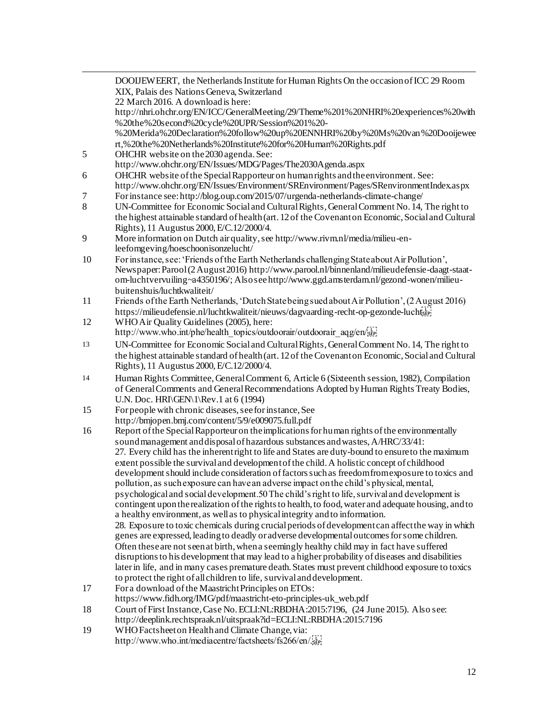|                | DOOIJEWEERT, the Netherlands Institute for Human Rights On the occasion of ICC 29 Room               |
|----------------|------------------------------------------------------------------------------------------------------|
|                | XIX, Palais des Nations Geneva, Switzerland                                                          |
|                | 22 March 2016. A download is here:                                                                   |
|                | http://nhri.ohchr.org/EN/ICC/GeneralMeeting/29/Theme%201%20NHRI%20experiences%20with                 |
|                | %20the%20second%20cycle%20UPR/Session%201%20-                                                        |
|                | %20Merida%20Declaration%20follow%20up%20ENNHRI%20by%20Ms%20van%20Dooijewee                           |
|                | rt,%20the%20Netherlands%20Institute%20for%20Human%20Rights.pdf                                       |
| 5              | OHCHR website on the 2030 agenda. See:                                                               |
|                | http://www.ohchr.org/EN/Issues/MDG/Pages/The2030Agenda.aspx                                          |
| 6              | OHCHR website of the Special Rapporteur on human rights and the environment. See:                    |
|                | http://www.ohchr.org/EN/Issues/Environment/SREnvironment/Pages/SRenvironmentIndex.aspx               |
| $\overline{7}$ | For instance see: http://blog.oup.com/2015/07/urgenda-netherlands-climate-change/                    |
| 8              | UN-Committee for Economic Social and Cultural Rights, General Comment No. 14, The right to           |
|                | the highest attainable standard of health (art. 12 of the Covenant on Economic, Social and Cultural  |
|                | Rights), 11 Augustus 2000, E/C.12/2000/4.                                                            |
| 9              | More information on Dutch air quality, see http://www.rivm.nl/media/milieu-en-                       |
|                | leefomgeving/hoeschoonisonzelucht/                                                                   |
| 10             | For instance, see: 'Friends of the Earth Netherlands challenging State about Air Pollution',         |
|                | Newspaper: Parool(2 August 2016) http://www.parool.nl/binnenland/milieudefensie-daagt-staat-         |
|                | om-luchtvervuiling~a4350196/; Also see http://www.ggd.amsterdam.nl/gezond-wonen/milieu-              |
|                | buitenshuis/luchtkwaliteit/                                                                          |
| 11             | Friends of the Earth Netherlands, 'Dutch State being sued about Air Pollution', (2 August 2016)      |
|                | https://milieudefensie.nl/luchtkwaliteit/nieuws/dagvaarding-recht-op-gezonde-luchtspi                |
| 12             | WHO Air Quality Guidelines (2005), here:                                                             |
|                | http://www.who.int/phe/health topics/outdoorair/outdoorair aqg/en/ $\frac{1}{15}$                    |
| 13             | UN-Committee for Economic Social and Cultural Rights, General Comment No. 14, The right to           |
|                | the highest attainable standard of health (art. 12 of the Covenant on Economic, Social and Cultural  |
|                | Rights), 11 Augustus 2000, E/C.12/2000/4.                                                            |
| 14             | Human Rights Committee, General Comment 6, Article 6 (Sixteenth session, 1982), Compilation          |
|                | of General Comments and General Recommendations Adopted by Human Rights Treaty Bodies,               |
|                | U.N. Doc. HRI $\gamma$ EN $\lambda$ l $\$ Rev.1 at 6 (1994)                                          |
| 15             | For people with chronic diseases, see for instance, See                                              |
|                | http://bmjopen.bmj.com/content/5/9/e009075.full.pdf                                                  |
| 16             | Report of the Special Rapporteur on the implications for human rights of the environmentally         |
|                | sound management and disposal of hazardous substances and wastes, A/HRC/33/41:                       |
|                | 27. Every child has the inherent right to life and States are duty-bound to ensure to the maximum    |
|                | extent possible the survival and development of the child. A holistic concept of childhood           |
|                | development should include consideration of factors such as freedom from exposure to toxics and      |
|                | pollution, as such exposure can have an adverse impact on the child's physical, mental,              |
|                | psychological and social development.50 The child's right to life, survival and development is       |
|                | contingent upon the realization of the rights to health, to food, water and adequate housing, and to |
|                | a healthy environment, as well as to physical integrity and to information.                          |
|                | 28. Exposure to toxic chemicals during crucial periods of development can affect the way in which    |
|                | genes are expressed, leading to deadly or adverse developmental outcomes for some children.          |
|                | Often these are not seen at birth, when a seemingly healthy child may in fact have suffered          |
|                | disruptions to his development that may lead to a higher probability of diseases and disabilities    |
|                | later in life, and in many cases premature death. States must prevent childhood exposure to toxics   |
|                | to protect the right of all children to life, survival and development.                              |
| 17             | For a download of the Maastricht Principles on ETOs:                                                 |
|                | https://www.fidh.org/IMG/pdf/maastricht-eto-principles-uk_web.pdf                                    |
| 18             | Court of First Instance, Case No. ECLI:NL:RBDHA:2015:7196, (24 June 2015). Also see:                 |
|                | http://deeplink.rechtspraak.nl/uitspraak?id=ECLI:NL:RBDHA:2015:7196                                  |

19 WHO Factsheet on Health and Climate Change, via: http://www.who.int/mediacentre/factsheets/fs266/en/.